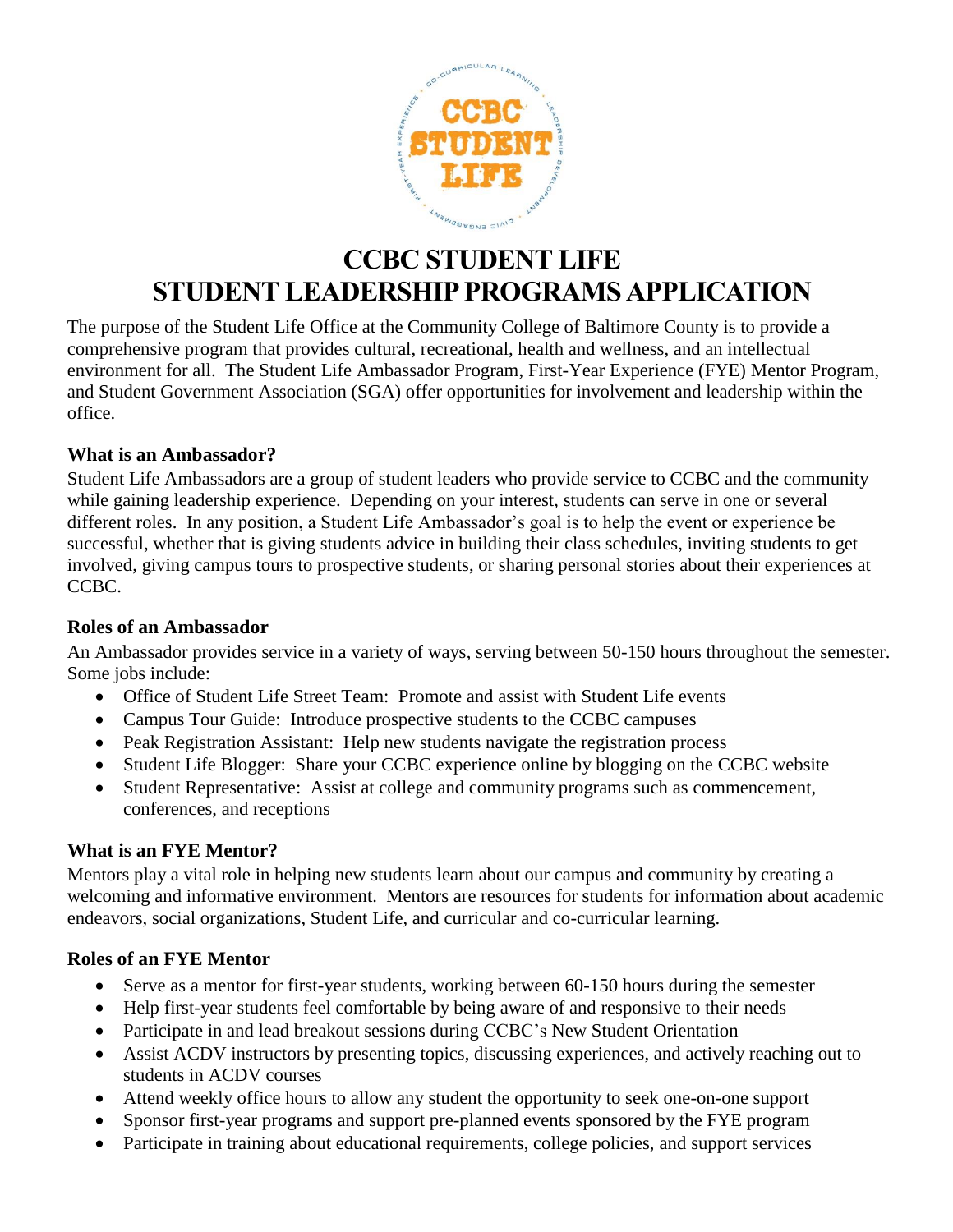

# **CCBC STUDENT LIFE STUDENT LEADERSHIP PROGRAMS APPLICATION**

The purpose of the Student Life Office at the Community College of Baltimore County is to provide a comprehensive program that provides cultural, recreational, health and wellness, and an intellectual environment for all. The Student Life Ambassador Program, First-Year Experience (FYE) Mentor Program, and Student Government Association (SGA) offer opportunities for involvement and leadership within the office.

#### **What is an Ambassador?**

Student Life Ambassadors are a group of student leaders who provide service to CCBC and the community while gaining leadership experience. Depending on your interest, students can serve in one or several different roles. In any position, a Student Life Ambassador's goal is to help the event or experience be successful, whether that is giving students advice in building their class schedules, inviting students to get involved, giving campus tours to prospective students, or sharing personal stories about their experiences at CCBC.

#### **Roles of an Ambassador**

An Ambassador provides service in a variety of ways, serving between 50-150 hours throughout the semester. Some jobs include:

- Office of Student Life Street Team: Promote and assist with Student Life events
- Campus Tour Guide: Introduce prospective students to the CCBC campuses
- Peak Registration Assistant: Help new students navigate the registration process
- Student Life Blogger: Share your CCBC experience online by blogging on the CCBC website
- Student Representative: Assist at college and community programs such as commencement, conferences, and receptions

# **What is an FYE Mentor?**

Mentors play a vital role in helping new students learn about our campus and community by creating a welcoming and informative environment. Mentors are resources for students for information about academic endeavors, social organizations, Student Life, and curricular and co-curricular learning.

#### **Roles of an FYE Mentor**

- Serve as a mentor for first-year students, working between 60-150 hours during the semester
- Help first-year students feel comfortable by being aware of and responsive to their needs
- Participate in and lead breakout sessions during CCBC's New Student Orientation
- Assist ACDV instructors by presenting topics, discussing experiences, and actively reaching out to students in ACDV courses
- Attend weekly office hours to allow any student the opportunity to seek one-on-one support
- Sponsor first-year programs and support pre-planned events sponsored by the FYE program
- Participate in training about educational requirements, college policies, and support services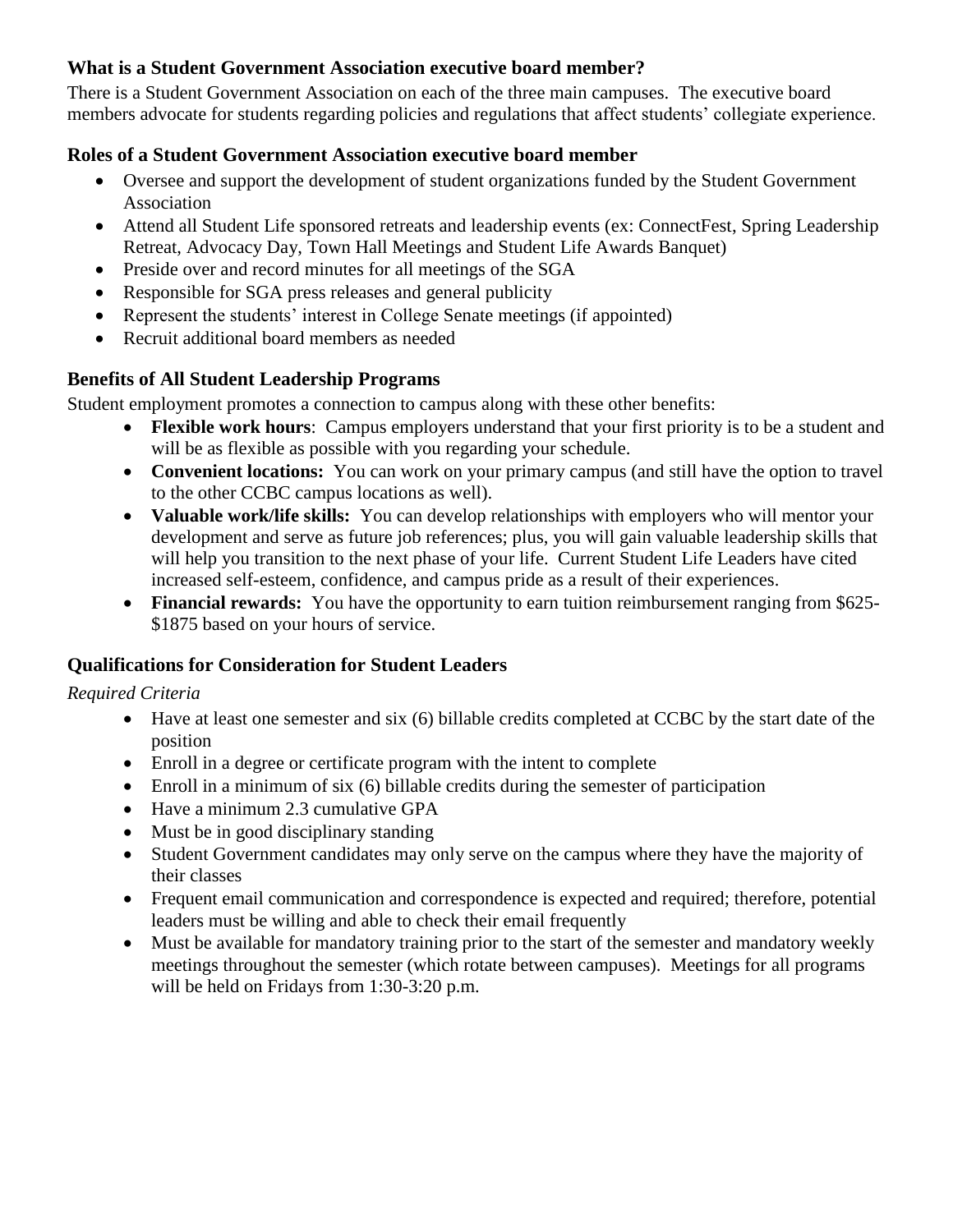# **What is a Student Government Association executive board member?**

There is a Student Government Association on each of the three main campuses. The executive board members advocate for students regarding policies and regulations that affect students' collegiate experience.

#### **Roles of a Student Government Association executive board member**

- Oversee and support the development of student organizations funded by the Student Government Association
- Attend all Student Life sponsored retreats and leadership events (ex: ConnectFest, Spring Leadership Retreat, Advocacy Day, Town Hall Meetings and Student Life Awards Banquet)
- Preside over and record minutes for all meetings of the SGA
- Responsible for SGA press releases and general publicity
- Represent the students' interest in College Senate meetings (if appointed)
- Recruit additional board members as needed

# **Benefits of All Student Leadership Programs**

Student employment promotes a connection to campus along with these other benefits:

- **Flexible work hours**: Campus employers understand that your first priority is to be a student and will be as flexible as possible with you regarding your schedule.
- **Convenient locations:** You can work on your primary campus (and still have the option to travel to the other CCBC campus locations as well).
- **Valuable work/life skills:** You can develop relationships with employers who will mentor your development and serve as future job references; plus, you will gain valuable leadership skills that will help you transition to the next phase of your life. Current Student Life Leaders have cited increased self-esteem, confidence, and campus pride as a result of their experiences.
- **Financial rewards:** You have the opportunity to earn tuition reimbursement ranging from \$625- \$1875 based on your hours of service.

# **Qualifications for Consideration for Student Leaders**

#### *Required Criteria*

- Have at least one semester and six (6) billable credits completed at CCBC by the start date of the position
- Enroll in a degree or certificate program with the intent to complete
- Enroll in a minimum of six (6) billable credits during the semester of participation
- Have a minimum 2.3 cumulative GPA
- Must be in good disciplinary standing
- Student Government candidates may only serve on the campus where they have the majority of their classes
- Frequent email communication and correspondence is expected and required; therefore, potential leaders must be willing and able to check their email frequently
- Must be available for mandatory training prior to the start of the semester and mandatory weekly meetings throughout the semester (which rotate between campuses). Meetings for all programs will be held on Fridays from 1:30-3:20 p.m.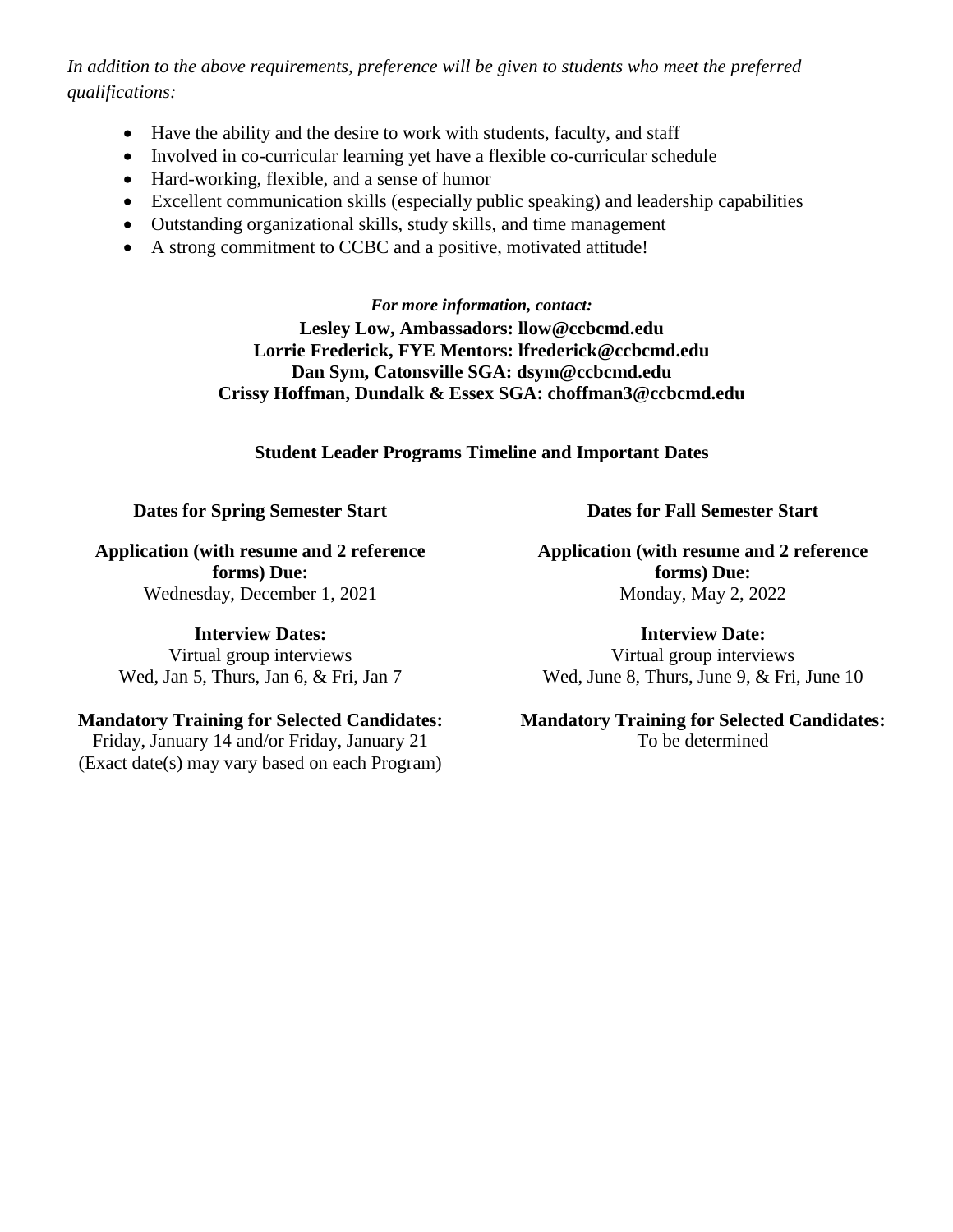*In addition to the above requirements, preference will be given to students who meet the preferred qualifications:*

- Have the ability and the desire to work with students, faculty, and staff
- Involved in co-curricular learning yet have a flexible co-curricular schedule
- Hard-working, flexible, and a sense of humor
- Excellent communication skills (especially public speaking) and leadership capabilities
- Outstanding organizational skills, study skills, and time management
- A strong commitment to CCBC and a positive, motivated attitude!

*For more information, contact:* **Lesley Low, Ambassadors: llow@ccbcmd.edu Lorrie Frederick, FYE Mentors: lfrederick@ccbcmd.edu Dan Sym, Catonsville SGA: dsym@ccbcmd.edu Crissy Hoffman, Dundalk & Essex SGA: choffman3@ccbcmd.edu**

**Student Leader Programs Timeline and Important Dates**

#### **Dates for Spring Semester Start**

**Application (with resume and 2 reference forms) Due:**  Wednesday, December 1, 2021

**Interview Dates:** 

Virtual group interviews Wed, Jan 5, Thurs, Jan 6, & Fri, Jan 7

# **Mandatory Training for Selected Candidates:**

Friday, January 14 and/or Friday, January 21 (Exact date(s) may vary based on each Program) **Dates for Fall Semester Start**

**Application (with resume and 2 reference forms) Due:**  Monday, May 2, 2022

**Interview Date:**  Virtual group interviews Wed, June 8, Thurs, June 9, & Fri, June 10

#### **Mandatory Training for Selected Candidates:**  To be determined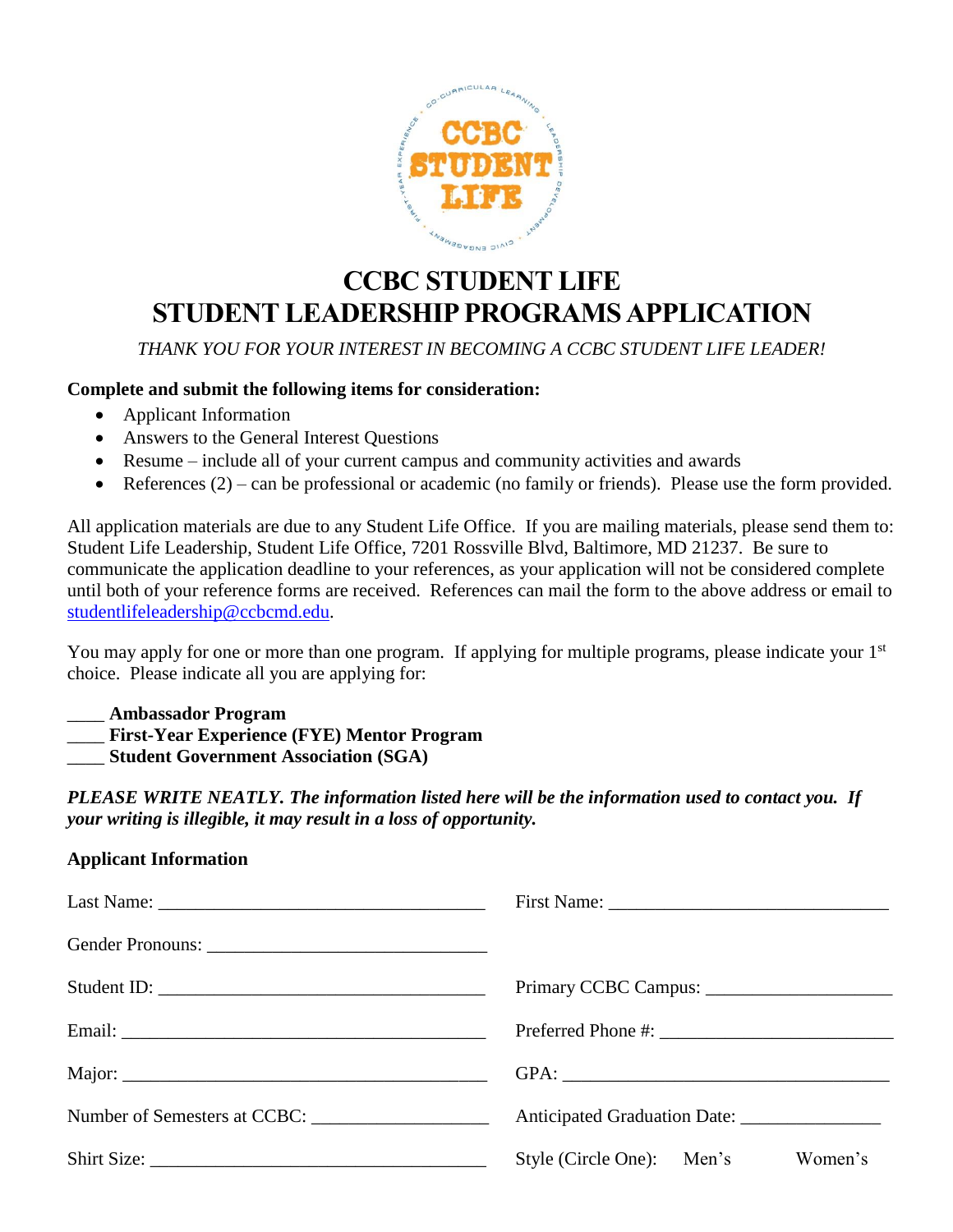

# **CCBC STUDENT LIFE STUDENT LEADERSHIP PROGRAMS APPLICATION**

*THANK YOU FOR YOUR INTEREST IN BECOMING A CCBC STUDENT LIFE LEADER!*

#### **Complete and submit the following items for consideration:**

- Applicant Information
- Answers to the General Interest Questions
- Resume include all of your current campus and community activities and awards
- References (2) can be professional or academic (no family or friends). Please use the form provided.

All application materials are due to any Student Life Office. If you are mailing materials, please send them to: Student Life Leadership, Student Life Office, 7201 Rossville Blvd, Baltimore, MD 21237. Be sure to communicate the application deadline to your references, as your application will not be considered complete until both of your reference forms are received. References can mail the form to the above address or email to [studentlifeleadership@ccbcmd.edu.](mailto:studentlifeleadership@ccbcmd.edu)

You may apply for one or more than one program. If applying for multiple programs, please indicate your 1<sup>st</sup> choice. Please indicate all you are applying for:

#### \_\_\_\_ **Ambassador Program**

\_\_\_\_ **First-Year Experience (FYE) Mentor Program**

\_\_\_\_ **Student Government Association (SGA)**

*PLEASE WRITE NEATLY. The information listed here will be the information used to contact you. If your writing is illegible, it may result in a loss of opportunity.*

# **Applicant Information**

| Anticipated Graduation Date: _______________ |
|----------------------------------------------|
| Style (Circle One): Men's<br>Women's         |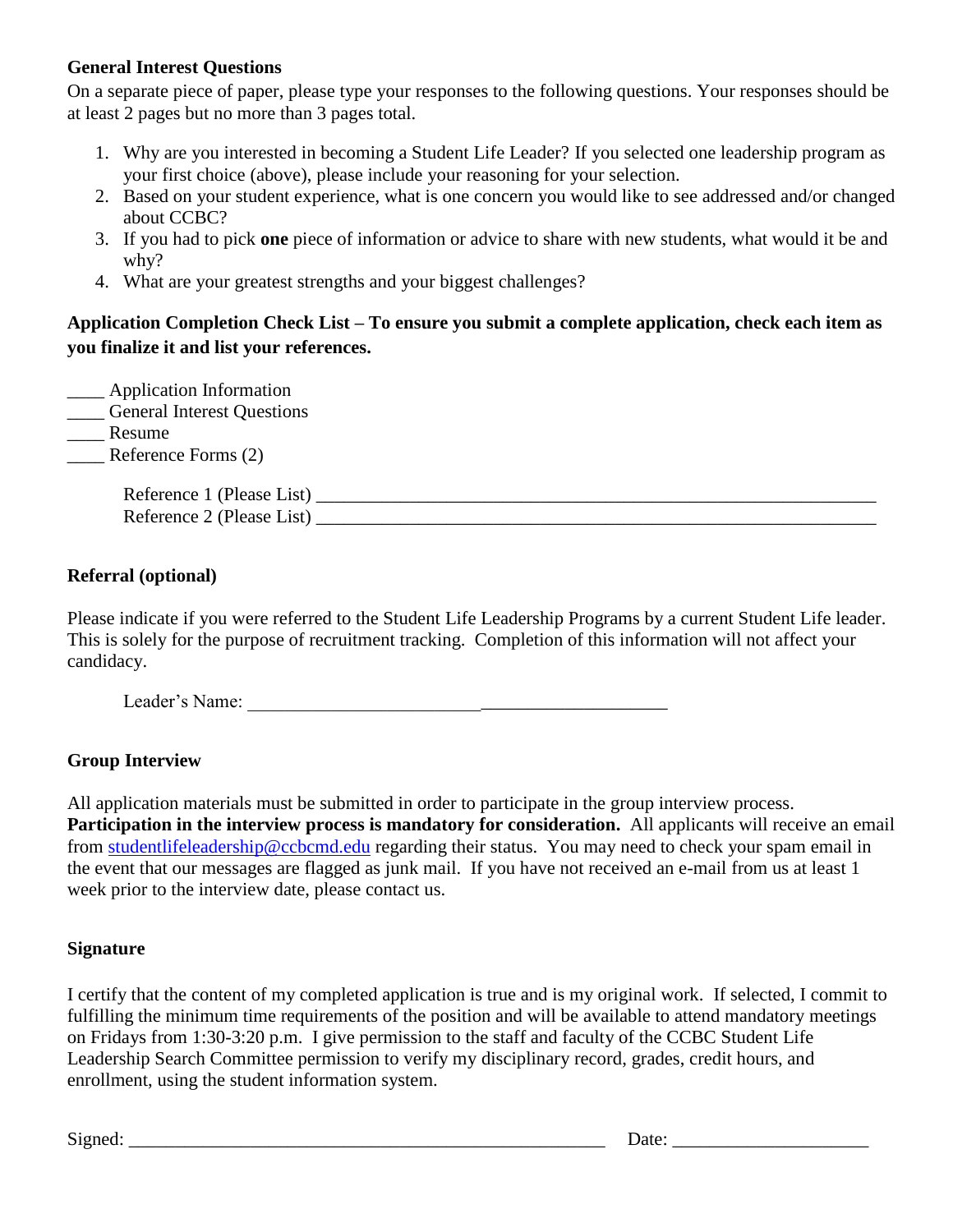# **General Interest Questions**

On a separate piece of paper, please type your responses to the following questions. Your responses should be at least 2 pages but no more than 3 pages total.

- 1. Why are you interested in becoming a Student Life Leader? If you selected one leadership program as your first choice (above), please include your reasoning for your selection.
- 2. Based on your student experience, what is one concern you would like to see addressed and/or changed about CCBC?
- 3. If you had to pick **one** piece of information or advice to share with new students, what would it be and why?
- 4. What are your greatest strengths and your biggest challenges?

# **Application Completion Check List – To ensure you submit a complete application, check each item as you finalize it and list your references.**

| _ Application Information<br><b>Ceneral Interest Questions</b> |  |
|----------------------------------------------------------------|--|
| Resume                                                         |  |
| $\blacksquare$ Reference Forms (2)                             |  |
| Reference 1 (Please List)<br>Reference 2 (Please List)         |  |

#### **Referral (optional)**

Please indicate if you were referred to the Student Life Leadership Programs by a current Student Life leader. This is solely for the purpose of recruitment tracking. Completion of this information will not affect your candidacy.

Leader's Name: \_\_\_\_\_\_\_\_\_\_\_\_\_\_\_\_\_\_\_\_\_\_\_\_\_\_\_\_\_\_\_\_\_\_\_\_\_\_\_\_\_\_\_\_\_

# **Group Interview**

All application materials must be submitted in order to participate in the group interview process. **Participation in the interview process is mandatory for consideration.** All applicants will receive an email from [studentlifeleadership@ccbcmd.edu](mailto:studentlifeleadership@ccbcmd.edu) regarding their status. You may need to check your spam email in the event that our messages are flagged as junk mail. If you have not received an e-mail from us at least 1 week prior to the interview date, please contact us.

#### **Signature**

I certify that the content of my completed application is true and is my original work. If selected, I commit to fulfilling the minimum time requirements of the position and will be available to attend mandatory meetings on Fridays from 1:30-3:20 p.m. I give permission to the staff and faculty of the CCBC Student Life Leadership Search Committee permission to verify my disciplinary record, grades, credit hours, and enrollment, using the student information system.

Signed: \_\_\_\_\_\_\_\_\_\_\_\_\_\_\_\_\_\_\_\_\_\_\_\_\_\_\_\_\_\_\_\_\_\_\_\_\_\_\_\_\_\_\_\_\_\_\_\_\_\_\_ Date: \_\_\_\_\_\_\_\_\_\_\_\_\_\_\_\_\_\_\_\_\_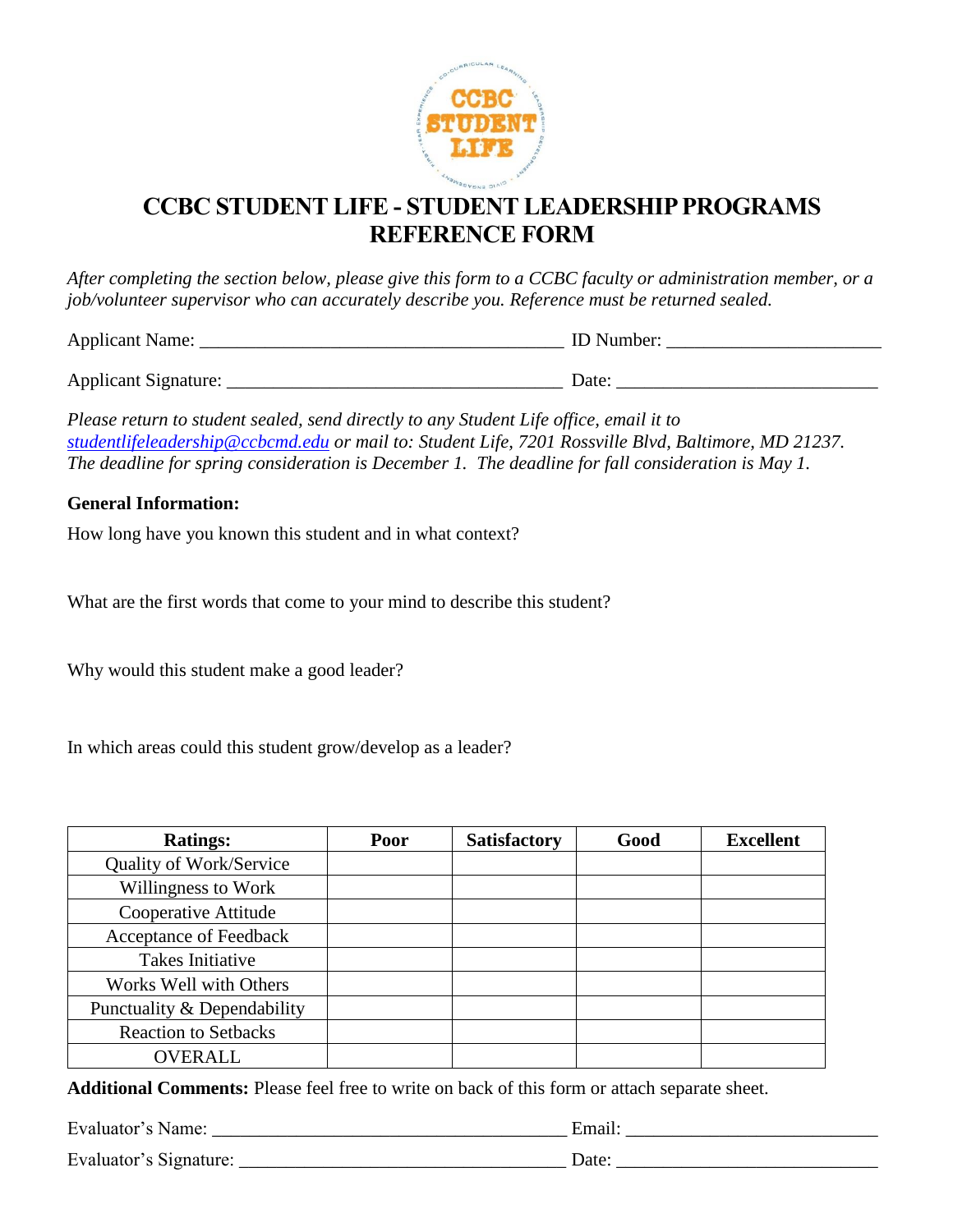

# **CCBC STUDENT LIFE - STUDENT LEADERSHIP PROGRAMS REFERENCE FORM**

*After completing the section below, please give this form to a CCBC faculty or administration member, or a job/volunteer supervisor who can accurately describe you. Reference must be returned sealed.* 

| Applicant<br>Name: | いへへい<br>11 |
|--------------------|------------|
|                    |            |

| <b>Applicant Signature:</b> | Jate |  |
|-----------------------------|------|--|
|                             |      |  |

*Please return to student sealed, send directly to any Student Life office, email it to [studentlifeleadership@ccbcmd.edu](mailto:studentlifeleadership@ccbcmd.edu) or mail to: Student Life, 7201 Rossville Blvd, Baltimore, MD 21237. The deadline for spring consideration is December 1. The deadline for fall consideration is May 1.*

#### **General Information:**

How long have you known this student and in what context?

What are the first words that come to your mind to describe this student?

Why would this student make a good leader?

In which areas could this student grow/develop as a leader?

| <b>Ratings:</b>             | Poor | <b>Satisfactory</b> | Good | <b>Excellent</b> |
|-----------------------------|------|---------------------|------|------------------|
| Quality of Work/Service     |      |                     |      |                  |
| Willingness to Work         |      |                     |      |                  |
| Cooperative Attitude        |      |                     |      |                  |
| Acceptance of Feedback      |      |                     |      |                  |
| Takes Initiative            |      |                     |      |                  |
| Works Well with Others      |      |                     |      |                  |
| Punctuality & Dependability |      |                     |      |                  |
| <b>Reaction to Setbacks</b> |      |                     |      |                  |
| <b>OVERALL</b>              |      |                     |      |                  |

**Additional Comments:** Please feel free to write on back of this form or attach separate sheet.

| Evaluator's Name:      | Emai. |
|------------------------|-------|
| Evaluator's Signature: | Jate  |